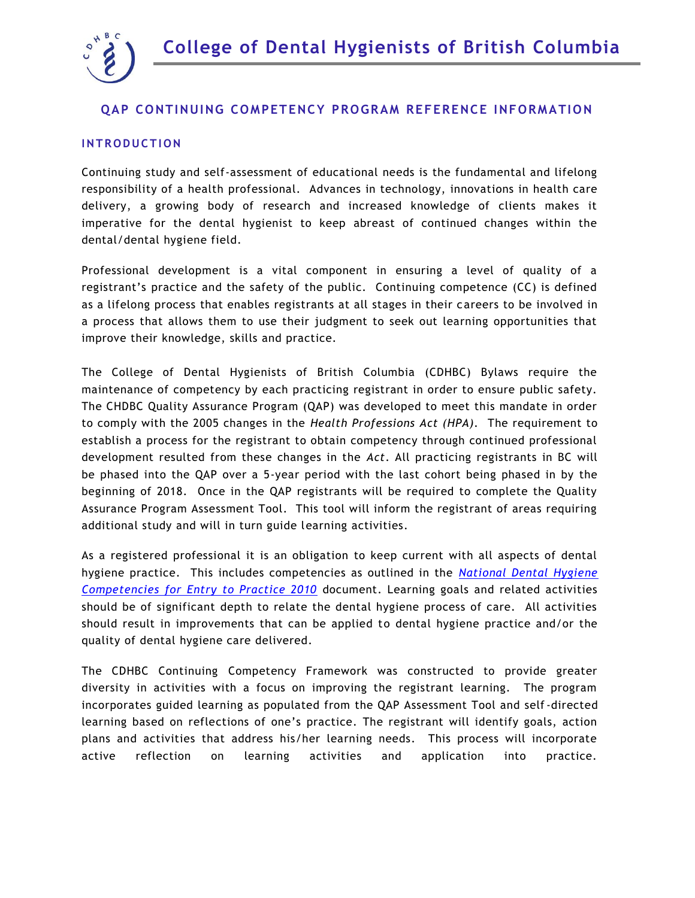



# **QAP CONTINUING COMPETENCY PROGRAM REFERENCE INFORMATION**

#### **INTRODUCTION**

Continuing study and self-assessment of educational needs is the fundamental and lifelong responsibility of a health professional. Advances in technology, innovations in health care delivery, a growing body of research and increased knowledge of clients makes it imperative for the dental hygienist to keep abreast of continued changes within the dental/dental hygiene field.

Professional development is a vital component in ensuring a level of quality of a registrant's practice and the safety of the public. Continuing competence (CC) is defined as a lifelong process that enables registrants at all stages in their careers to be involved in a process that allows them to use their judgment to seek out learning opportunities that improve their knowledge, skills and practice.

The College of Dental Hygienists of British Columbia (CDHBC) Bylaws require the maintenance of competency by each practicing registrant in order to ensure public safety. The CHDBC Quality Assurance Program (QAP) was developed to meet this mandate in order to comply with the 2005 changes in the *Health Professions Act (HPA).* The requirement to establish a process for the registrant to obtain competency through continued professional development resulted from these changes in the *Act*. All practicing registrants in BC will be phased into the QAP over a 5-year period with the last cohort being phased in by the beginning of 2018. Once in the QAP registrants will be required to complete the Quality Assurance Program Assessment Tool. This tool will inform the registrant of areas requiring additional study and will in turn guide learning activities.

As a registered professional it is an obligation to keep current with all aspects of dental hygiene practice. This includes competencies as outlined in the *[National Dental Hygiene](http://www.cdha.ca/pdfs/Competencies_and_Standards.pdf)  [Competencies for Entry to Practice 2010](http://www.cdha.ca/pdfs/Competencies_and_Standards.pdf)* document. Learning goals and related activities should be of significant depth to relate the dental hygiene process of care. All activities should result in improvements that can be applied to dental hygiene practice and/or the quality of dental hygiene care delivered.

The CDHBC Continuing Competency Framework was constructed to provide greater diversity in activities with a focus on improving the registrant learning. The program incorporates guided learning as populated from the QAP Assessment Tool and self-directed learning based on reflections of one's practice. The registrant will identify goals, action plans and activities that address his/her learning needs. This process will incorporate active reflection on learning activities and application into practice.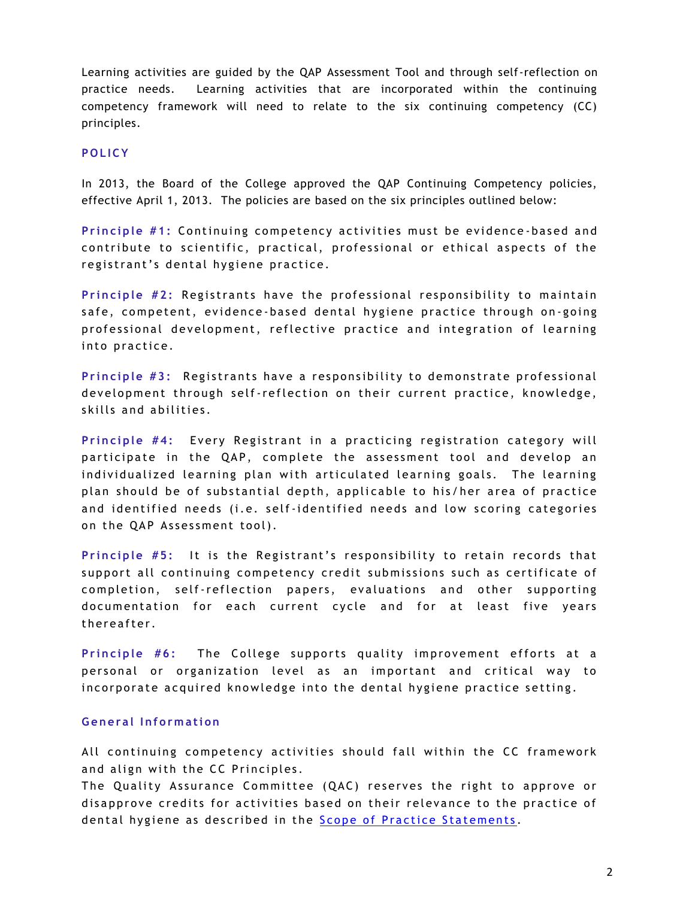Learning activities are guided by the QAP Assessment Tool and through self-reflection on practice needs. Learning activities that are incorporated within the continuing competency framework will need to relate to the six continuing competency (CC) principles.

## **P O L IC Y**

In 2013, the Board of the College approved the QAP Continuing Competency policies, effective April 1, 2013. The policies are based on the six principles outlined below:

Principle #1: Continuing competency activities must be evidence-based and contribute to scientific, practical, professional or ethical aspects of the registrant's dental hygiene practice.

Principle #2: Registrants have the professional responsibility to maintain safe, competent, evidence-based dental hygiene practice through on-going professional development, reflective practice and integration of learning into practice.

Principle #3: Registrants have a responsibility to demonstrate professional development through self-reflection on their current practice, knowledge, skills and abilities.

Principle #4: Every Registrant in a practicing registration category will participate in the QAP, complete the assessment tool and develop an individualized learning plan with articulated learning goals. The learning plan should be of substantial depth, applicable to his/her area of practice and identified needs (i.e. self-identified needs and low scoring categories on the QAP Assessment tool).

Principle #5: It is the Registrant's responsibility to retain records that support all continuing competency credit submissions such as certificate of completion, self-reflection papers, evaluations and other supporting documentation for each current cycle and for at least five years thereafter.

Principle #6: The College supports quality improvement efforts at a personal or organization level as an important and critical way to in corporate acquired knowledge into the dental hygiene practice setting.

#### **G e ne ra l I nf o rm a ti on**

All continuing competency activities should fall within the CC framework and align with the CC Principles.

The Quality Assurance Committee (QAC) reserves the right to approve or disapprove credits for activities based on their relevance to the practice of dental hygiene as described in the Scope of Practice Statements.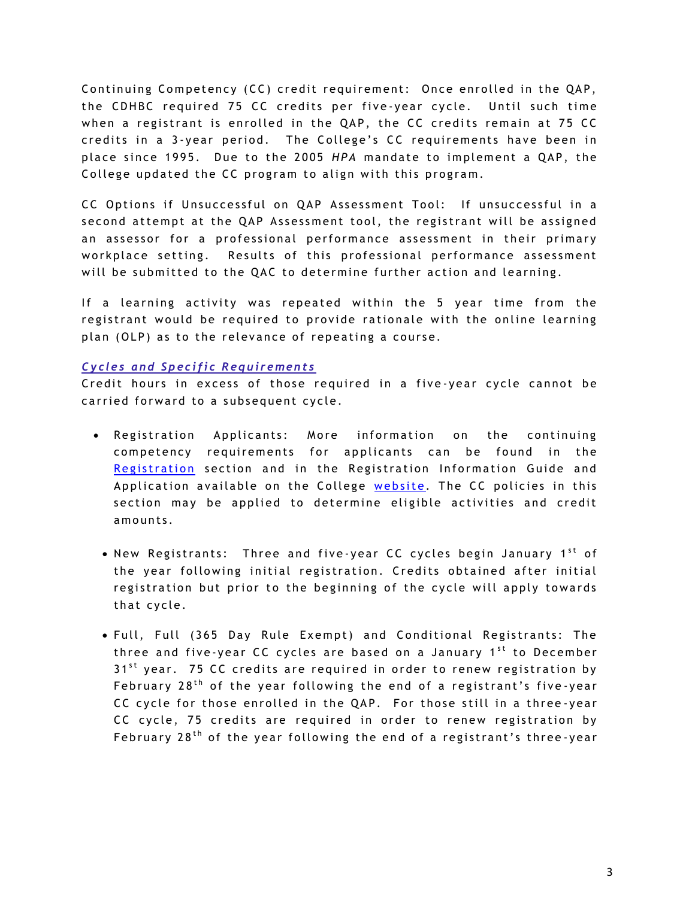Continuing Competency (CC) credit requirement: Once enrolled in the QAP, the CDHBC required 75 CC credits per five-year cycle. Until such time when a registrant is enrolled in the QAP, the CC credits remain at 75 CC credits in a 3-year period. The College's CC requirements have been in place since 1995. Due to the 2005 *HPA* mandate to implement a QAP, the College updated the CC program to align with this program.

CC Options if Unsuccessful on QAP Assessment Tool: If unsuccessful in a second attempt at the QAP Assessment tool, the registrant will be assigned an assessor for a professional performance assessment in their primary workplace setting. Results of this professional performance assessment will be submitted to the QAC to determine further action and learning.

If a learning activity was repeated within the 5 year time from the registrant would be required to provide rationale with the online learning plan (OLP) as to the relevance of repeating a course.

#### *Cycles and Specific Requirements*

Credit hours in excess of those required in a five-year cycle cannot be carried forward to a subsequent cycle.

- Registration Applicants: More information on the continuing competency requirements for applicants can be found in the Registration section and in the Registration Information Guide and Application available on the College website. The CC policies in this section may be applied to determine eligible activities and credit amounts.
	- New Registrants: Three and five-year CC cycles begin January 1<sup>st</sup> of the year following initial registration. Credits obtained after initial registration but prior to the beginning of the cycle will apply towards that cycle.
	- · Full, Full (365 Day Rule Exempt) and Conditional Registrants: The three and five-year CC cycles are based on a January 1<sup>st</sup> to December  $31<sup>st</sup>$  year. 75 CC credits are required in order to renew registration by February  $28<sup>th</sup>$  of the year following the end of a registrant's five-year CC cycle for those enrolled in the QAP. For those still in a three-year CC cycle, 75 credits are required in order to renew registration by February 28<sup>th</sup> of the year following the end of a registrant's three-year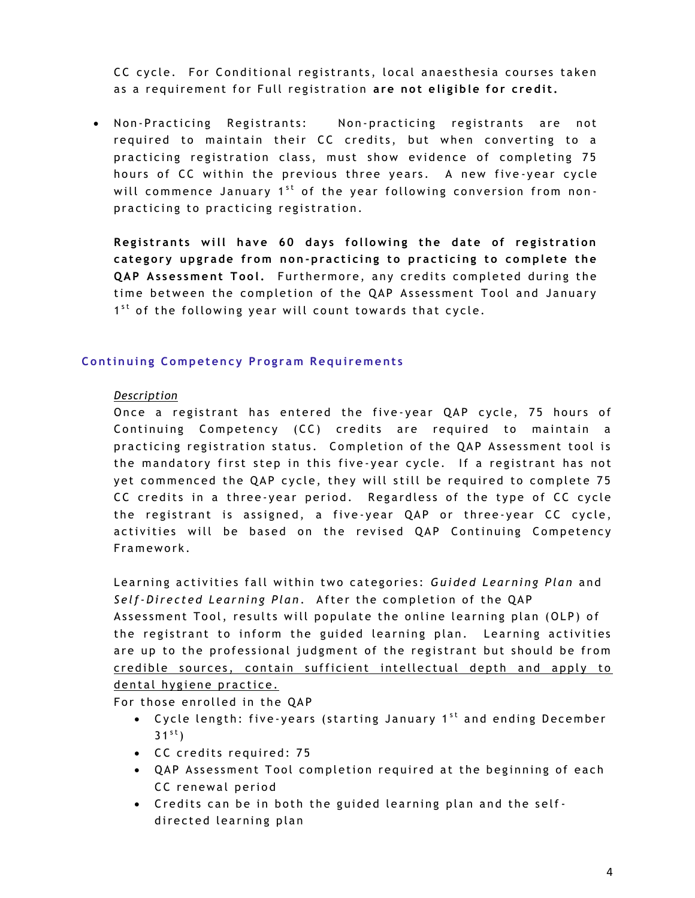CC cycle. For Conditional registrants, local anaesthesia courses taken as a requirement for Full registration are not eligible for credit.

• Non-Practicing Registrants: Non-practicing registrants are not required to maintain their CC credits, but when converting to a practicing registration class, must show evidence of completing 75 hours of CC within the previous three years. A new five-year cycle will commence January 1<sup>st</sup> of the year following conversion from nonpracticing to practicing registration.

**Registrants will have 60 days following the date of registration** category upgrade from non-practicing to practicing to complete the **QAP Assessment Tool.** Furthermore, any credits completed during the time between the completion of the QAP Assessment Tool and January 1<sup>st</sup> of the following year will count towards that cycle.

### **Continuing Competency Program Requirements**

#### *Description*

Once a registrant has entered the five-year QAP cycle, 75 hours of Continuing Competency (CC) credits are required to maintain a practicing registration status. Completion of the QAP Assessment tool is the mandatory first step in this five-year cycle. If a registrant has not yet commenced the QAP cycle, they will still be required to complete 75 CC credits in a three-year period. Regardless of the type of CC cycle the registrant is assigned, a five-year QAP or three-year CC cycle, activities will be based on the revised QAP Continuing Competency Framework.

Learning activities fall within two categories: Guided Learning Plan and Self-Directed Learning Plan. After the completion of the QAP Assessment Tool, results will populate the online learning plan (OLP) of the registrant to inform the guided learning plan. Learning activities are up to the professional judgment of the registrant but should be from credible sources, contain sufficient intellectual depth and apply to dental hygiene practice.

For those enrolled in the QAP

- Cycle length: five-years (starting January 1<sup>st</sup> and ending December  $31^{st}$ )
- CC credits required: 75
- QAP Assessment Tool completion required at the beginning of each CC renewal period
- Credits can be in both the guided learning plan and the selfdirected learning plan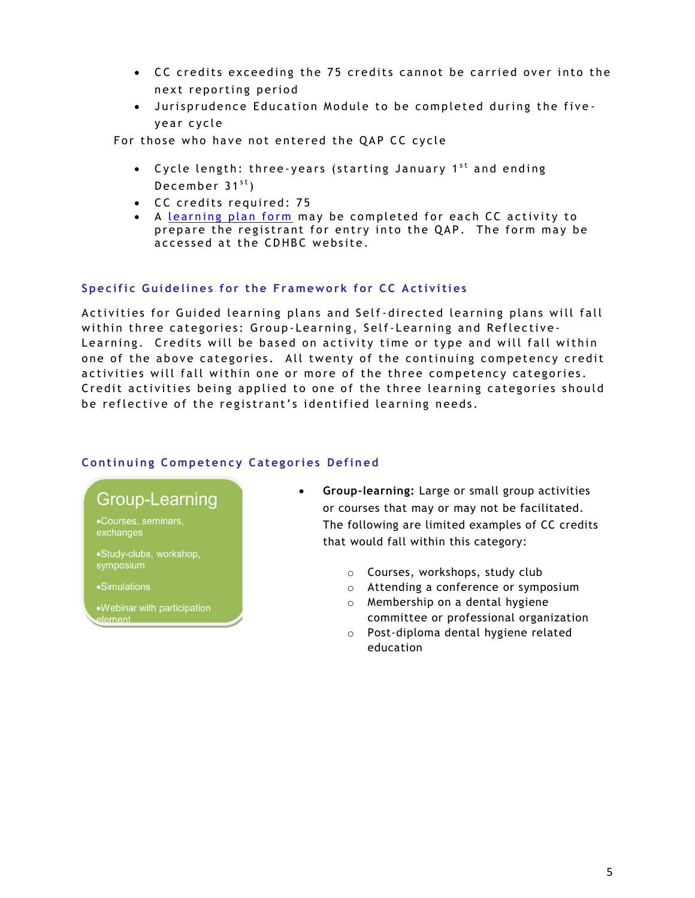- CC credits exceeding the 75 credits cannot be carried over into the next reporting period
- $\bullet$  Jurisprudence Education Module to be completed during the fiveyear cycle

For those who have not entered the QAP CC cycle

- Cycle length: three-years (starting January  $1^{st}$  and ending December  $31^{st}$ )
- CC credits required: 75
- A learning plan form may be completed for each CC activity to prepare the registrant for entry into the QAP. The form may be accessed at the CDHBC website.

# **Specific Guidelines for the Framework for CC Activities**

Activities for Guided learning plans and Self-directed learning plans will fall within three categories: Group-Learning, Self-Learning and Reflective-Learning. Credits will be based on activity time or type and will fall within one of the above categories. All twenty of the continuing competency credit activities will fall within one or more of the three competency categories. C redit activities being applied to one of the three learning categories should be reflective of the registrant's identified learning needs.

# **Continuing Competency Categories Defined**



- **Group-learning:** Large or small group activities or courses that may or may not be facilitated. The following are limited examples of CC credits that would fall within this category:
	- o Courses, workshops, study club
	- o Attending a conference or symposium
	- o Membership on a dental hygiene committee or professional organization
	- o Post-diploma dental hygiene related education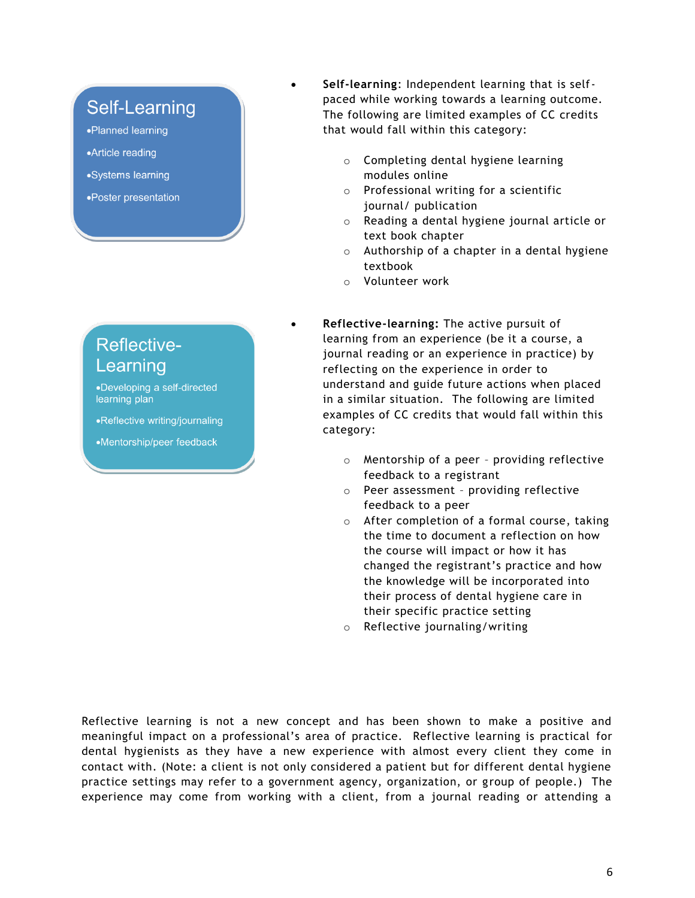# **Self-Learning**

•Planned learning

- •Article reading
- •Systems learning
- •Poster presentation

# **Reflective-**Learning

•Developing a self-directed learning plan

•Reflective writing/journaling

•Mentorship/peer feedback

- **Self-learning**: Independent learning that is selfpaced while working towards a learning outcome. The following are limited examples of CC credits that would fall within this category:
	- o Completing dental hygiene learning modules online
	- o Professional writing for a scientific journal/ publication
	- o Reading a dental hygiene journal article or text book chapter
	- $\circ$  Authorship of a chapter in a dental hygiene textbook
	- o Volunteer work
- **Reflective-learning:** The active pursuit of learning from an experience (be it a course, a journal reading or an experience in practice) by reflecting on the experience in order to understand and guide future actions when placed in a similar situation. The following are limited examples of CC credits that would fall within this category:
	- o Mentorship of a peer providing reflective feedback to a registrant
	- o Peer assessment providing reflective feedback to a peer
	- o After completion of a formal course, taking the time to document a reflection on how the course will impact or how it has changed the registrant's practice and how the knowledge will be incorporated into their process of dental hygiene care in their specific practice setting
	- o Reflective journaling/writing

Reflective learning is not a new concept and has been shown to make a positive and meaningful impact on a professional's area of practice. Reflective learning is practical for dental hygienists as they have a new experience with almost every client they come in contact with. (Note: a client is not only considered a patient but for different dental hygiene practice settings may refer to a government agency, organization, or group of people.) The experience may come from working with a client, from a journal reading or attending a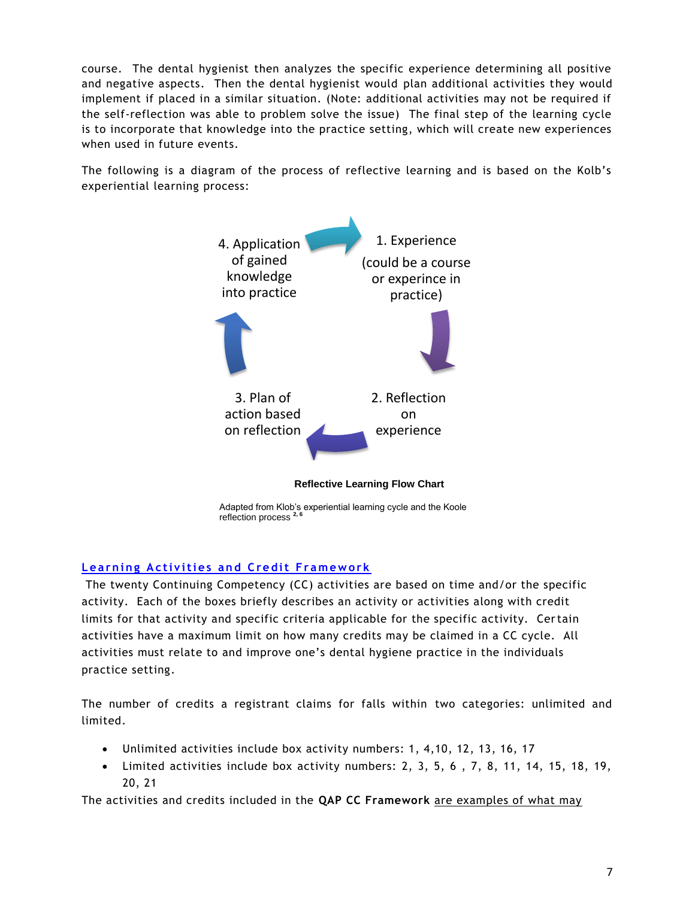course. The dental hygienist then analyzes the specific experience determining all positive and negative aspects. Then the dental hygienist would plan additional activities they would implement if placed in a similar situation. (Note: additional activities may not be required if the self-reflection was able to problem solve the issue) The final step of the learning cycle is to incorporate that knowledge into the practice setting, which will create new experiences when used in future events.

The following is a diagram of the process of reflective learning and is based on the Kolb's experiential learning process:



Adapted from Klob's experiential learning cycle and the Koole reflection process **2, 6**

# **Learning Activities and Credit Framework**

The twenty Continuing Competency (CC) activities are based on time and/or the specific activity. Each of the boxes briefly describes an activity or activities along with credit limits for that activity and specific criteria applicable for the specific activity. Certain activities have a maximum limit on how many credits may be claimed in a CC cycle. All activities must relate to and improve one's dental hygiene practice in the individuals practice setting.

The number of credits a registrant claims for falls within two categories: unlimited and limited.

- Unlimited activities include box activity numbers: 1, 4,10, 12, 13, 16, 17
- Limited activities include box activity numbers: 2, 3, 5, 6 , 7, 8, 11, 14, 15, 18, 19, 20, 21

The activities and credits included in the **QAP CC Framework** are examples of what may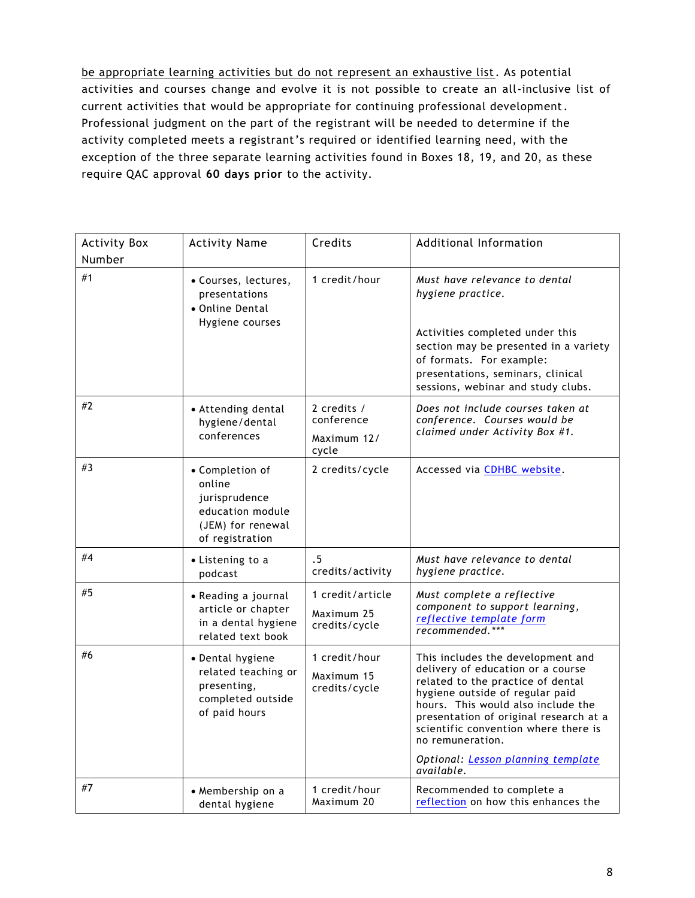be appropriate learning activities but do not represent an exhaustive list. As potential activities and courses change and evolve it is not possible to create an all-inclusive list of current activities that would be appropriate for continuing professional development. Professional judgment on the part of the registrant will be needed to determine if the activity completed meets a registrant's required or identified learning need, with the exception of the three separate learning activities found in Boxes 18, 19, and 20, as these require QAC approval **60 days prior** to the activity.

| <b>Activity Box</b><br>Number | <b>Activity Name</b>                                                                                   | Credits                                           | Additional Information                                                                                                                                                                                                                                                                                                                         |
|-------------------------------|--------------------------------------------------------------------------------------------------------|---------------------------------------------------|------------------------------------------------------------------------------------------------------------------------------------------------------------------------------------------------------------------------------------------------------------------------------------------------------------------------------------------------|
| #1                            | • Courses, lectures,<br>presentations<br>• Online Dental<br>Hygiene courses                            | 1 credit/hour                                     | Must have relevance to dental<br>hygiene practice.<br>Activities completed under this<br>section may be presented in a variety<br>of formats. For example:<br>presentations, seminars, clinical<br>sessions, webinar and study clubs.                                                                                                          |
| #2                            | • Attending dental<br>hygiene/dental<br>conferences                                                    | 2 credits /<br>conference<br>Maximum 12/<br>cycle | Does not include courses taken at<br>conference. Courses would be<br>claimed under Activity Box #1.                                                                                                                                                                                                                                            |
| #3                            | • Completion of<br>online<br>jurisprudence<br>education module<br>(JEM) for renewal<br>of registration | 2 credits/cycle                                   | Accessed via CDHBC website.                                                                                                                                                                                                                                                                                                                    |
| #4                            | • Listening to a<br>podcast                                                                            | . 5<br>credits/activity                           | Must have relevance to dental<br>hygiene practice.                                                                                                                                                                                                                                                                                             |
| #5                            | • Reading a journal<br>article or chapter<br>in a dental hygiene<br>related text book                  | 1 credit/article<br>Maximum 25<br>credits/cycle   | Must complete a reflective<br>component to support learning,<br>reflective template form<br>recommended.***                                                                                                                                                                                                                                    |
| #6                            | • Dental hygiene<br>related teaching or<br>presenting,<br>completed outside<br>of paid hours           | 1 credit/hour<br>Maximum 15<br>credits/cycle      | This includes the development and<br>delivery of education or a course<br>related to the practice of dental<br>hygiene outside of regular paid<br>hours. This would also include the<br>presentation of original research at a<br>scientific convention where there is<br>no remuneration.<br>Optional: Lesson planning template<br>available. |
| #7                            | • Membership on a<br>dental hygiene                                                                    | 1 credit/hour<br>Maximum 20                       | Recommended to complete a<br>reflection on how this enhances the                                                                                                                                                                                                                                                                               |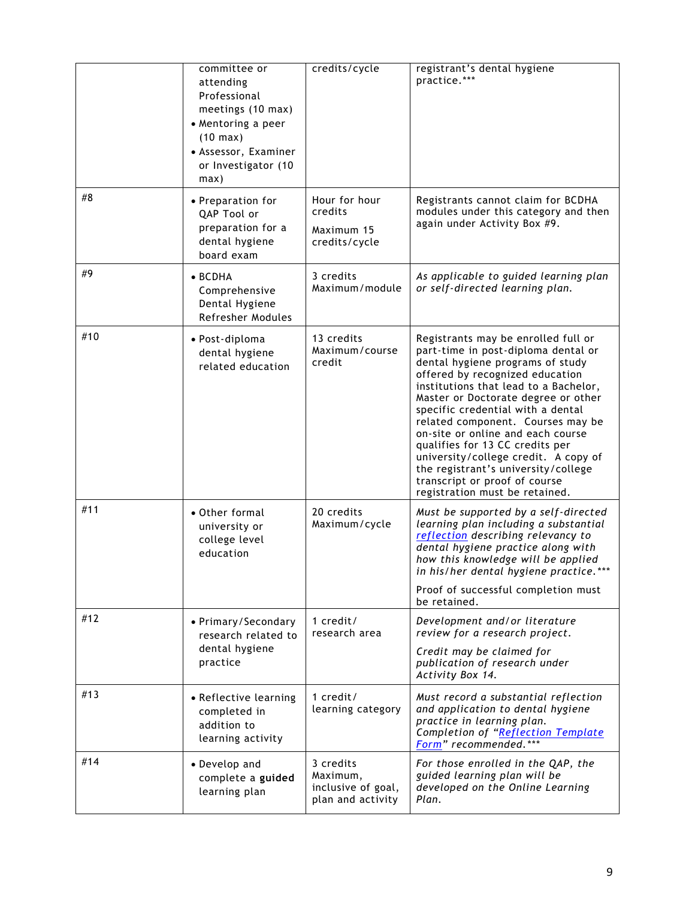|     | committee or<br>attending<br>Professional<br>meetings (10 max)<br>• Mentoring a peer<br>$(10 \text{ max})$<br>• Assessor, Examiner<br>or Investigator (10<br>max) | credits/cycle                                                    | registrant's dental hygiene<br>practice.***                                                                                                                                                                                                                                                                                                                                                                                                                                                                                           |
|-----|-------------------------------------------------------------------------------------------------------------------------------------------------------------------|------------------------------------------------------------------|---------------------------------------------------------------------------------------------------------------------------------------------------------------------------------------------------------------------------------------------------------------------------------------------------------------------------------------------------------------------------------------------------------------------------------------------------------------------------------------------------------------------------------------|
| #8  | • Preparation for<br>QAP Tool or<br>preparation for a<br>dental hygiene<br>board exam                                                                             | Hour for hour<br>credits<br>Maximum 15<br>credits/cycle          | Registrants cannot claim for BCDHA<br>modules under this category and then<br>again under Activity Box #9.                                                                                                                                                                                                                                                                                                                                                                                                                            |
| #9  | $\bullet$ BCDHA<br>Comprehensive<br>Dental Hygiene<br>Refresher Modules                                                                                           | 3 credits<br>Maximum/module                                      | As applicable to guided learning plan<br>or self-directed learning plan.                                                                                                                                                                                                                                                                                                                                                                                                                                                              |
| #10 | • Post-diploma<br>dental hygiene<br>related education                                                                                                             | 13 credits<br>Maximum/course<br>credit                           | Registrants may be enrolled full or<br>part-time in post-diploma dental or<br>dental hygiene programs of study<br>offered by recognized education<br>institutions that lead to a Bachelor,<br>Master or Doctorate degree or other<br>specific credential with a dental<br>related component. Courses may be<br>on-site or online and each course<br>qualifies for 13 CC credits per<br>university/college credit. A copy of<br>the registrant's university/college<br>transcript or proof of course<br>registration must be retained. |
| #11 | • Other formal<br>university or<br>college level<br>education                                                                                                     | 20 credits<br>Maximum/cycle                                      | Must be supported by a self-directed<br>learning plan including a substantial<br>reflection describing relevancy to<br>dental hygiene practice along with<br>how this knowledge will be applied<br>in his/her dental hygiene practice.<br>Proof of successful completion must<br>be retained.                                                                                                                                                                                                                                         |
| #12 | • Primary/Secondary<br>research related to<br>dental hygiene<br>practice                                                                                          | 1 $credit/$<br>research area                                     | Development and/or literature<br>review for a research project.<br>Credit may be claimed for<br>publication of research under<br>Activity Box 14.                                                                                                                                                                                                                                                                                                                                                                                     |
| #13 | • Reflective learning<br>completed in<br>addition to<br>learning activity                                                                                         | 1 $credit/$<br>learning category                                 | Must record a substantial reflection<br>and application to dental hygiene<br>practice in learning plan.<br>Completion of "Reflection Template<br>Form" recommended.***                                                                                                                                                                                                                                                                                                                                                                |
| #14 | • Develop and<br>complete a guided<br>learning plan                                                                                                               | 3 credits<br>Maximum,<br>inclusive of goal,<br>plan and activity | For those enrolled in the QAP, the<br>guided learning plan will be<br>developed on the Online Learning<br>Plan.                                                                                                                                                                                                                                                                                                                                                                                                                       |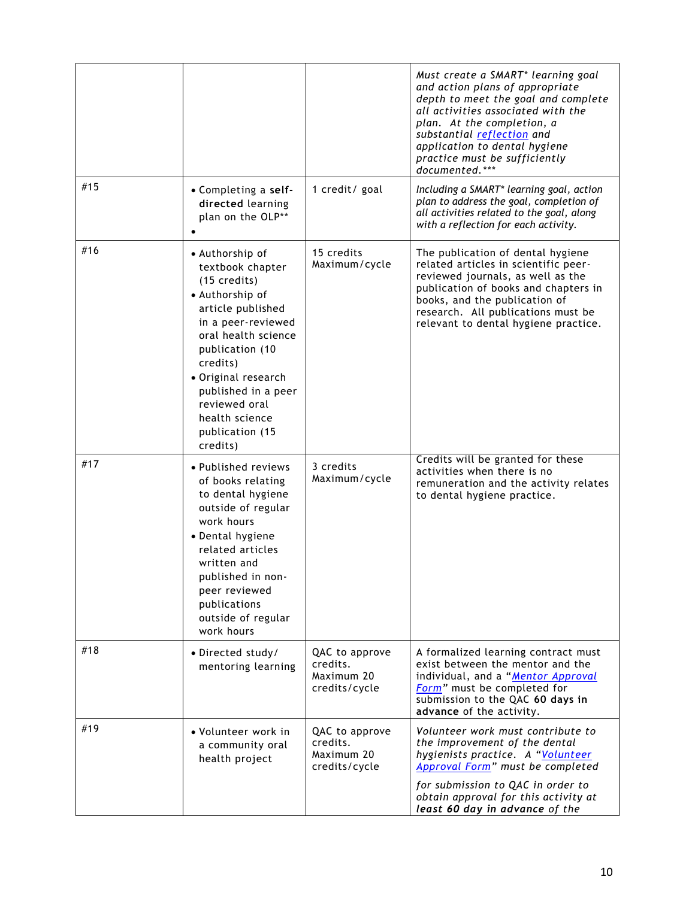|     |                                                                                                                                                                                                                                                                                                   |                                                           | Must create a SMART* learning goal<br>and action plans of appropriate<br>depth to meet the goal and complete<br>all activities associated with the<br>plan. At the completion, a<br>substantial reflection and<br>application to dental hygiene<br>practice must be sufficiently<br>documented.*** |
|-----|---------------------------------------------------------------------------------------------------------------------------------------------------------------------------------------------------------------------------------------------------------------------------------------------------|-----------------------------------------------------------|----------------------------------------------------------------------------------------------------------------------------------------------------------------------------------------------------------------------------------------------------------------------------------------------------|
| #15 | • Completing a self-<br>directed learning<br>plan on the OLP**                                                                                                                                                                                                                                    | 1 credit/ goal                                            | Including a SMART* learning goal, action<br>plan to address the goal, completion of<br>all activities related to the goal, along<br>with a reflection for each activity.                                                                                                                           |
| #16 | • Authorship of<br>textbook chapter<br>$(15 \text{ credits})$<br>• Authorship of<br>article published<br>in a peer-reviewed<br>oral health science<br>publication (10<br>credits)<br>• Original research<br>published in a peer<br>reviewed oral<br>health science<br>publication (15<br>credits) | 15 credits<br>Maximum/cycle                               | The publication of dental hygiene<br>related articles in scientific peer-<br>reviewed journals, as well as the<br>publication of books and chapters in<br>books, and the publication of<br>research. All publications must be<br>relevant to dental hygiene practice.                              |
| #17 | • Published reviews<br>of books relating<br>to dental hygiene<br>outside of regular<br>work hours<br>• Dental hygiene<br>related articles<br>written and<br>published in non-<br>peer reviewed<br>publications<br>outside of regular<br>work hours                                                | 3 credits<br>Maximum/cycle                                | Credits will be granted for these<br>activities when there is no<br>remuneration and the activity relates<br>to dental hygiene practice.                                                                                                                                                           |
| #18 | · Directed study/<br>mentoring learning                                                                                                                                                                                                                                                           | QAC to approve<br>credits.<br>Maximum 20<br>credits/cycle | A formalized learning contract must<br>exist between the mentor and the<br>individual, and a "Mentor Approval<br>Form" must be completed for<br>submission to the QAC 60 days in<br>advance of the activity.                                                                                       |
| #19 | • Volunteer work in<br>a community oral<br>health project                                                                                                                                                                                                                                         | QAC to approve<br>credits.<br>Maximum 20<br>credits/cycle | Volunteer work must contribute to<br>the improvement of the dental<br>hygienists practice. A "Volunteer<br>Approval Form" must be completed<br>for submission to QAC in order to<br>obtain approval for this activity at<br>least 60 day in advance of the                                         |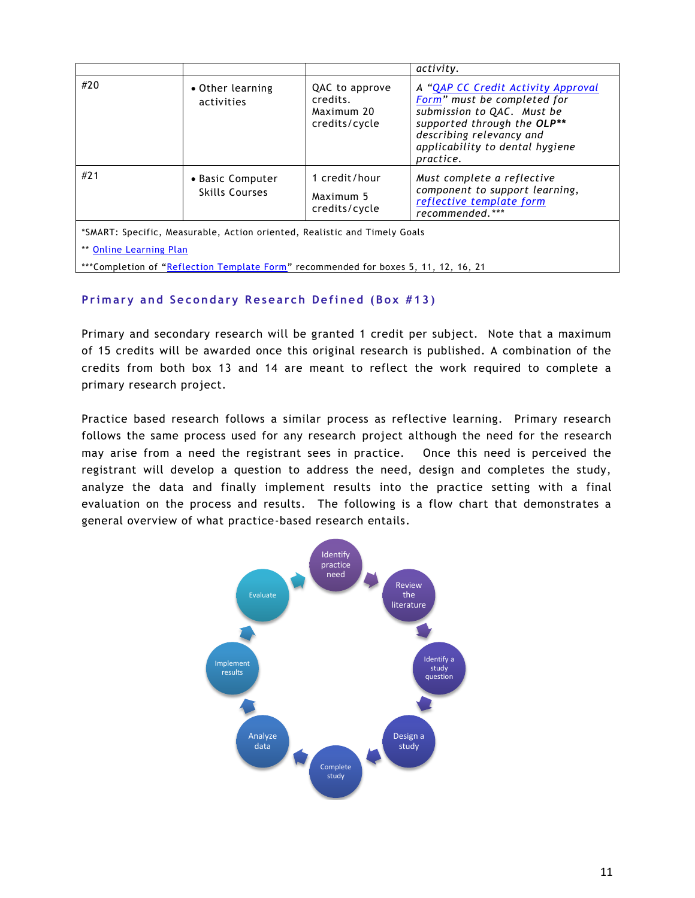|                         |                                                                                                                                                                  |                                                           | activity.                                                                                                                                                                                                  |
|-------------------------|------------------------------------------------------------------------------------------------------------------------------------------------------------------|-----------------------------------------------------------|------------------------------------------------------------------------------------------------------------------------------------------------------------------------------------------------------------|
| #20                     | • Other learning<br>activities                                                                                                                                   | QAC to approve<br>credits.<br>Maximum 20<br>credits/cycle | A "QAP CC Credit Activity Approval<br>Form" must be completed for<br>submission to QAC. Must be<br>supported through the OLP**<br>describing relevancy and<br>applicability to dental hygiene<br>practice. |
| #21                     | • Basic Computer<br><b>Skills Courses</b>                                                                                                                        | 1 credit/hour<br>Maximum 5<br>credits/cycle               | Must complete a reflective<br>component to support learning,<br>reflective template form<br>recommended.***                                                                                                |
| ** Online Learning Plan | *SMART: Specific, Measurable, Action oriented, Realistic and Timely Goals<br>***Completion of "Reflection Template Form" recommended for boxes 5, 11, 12, 16, 21 |                                                           |                                                                                                                                                                                                            |

# **Primary and Secondary Research Defined (Box #13)**

Primary and secondary research will be granted 1 credit per subject. Note that a maximum of 15 credits will be awarded once this original research is published. A combination of the credits from both box 13 and 14 are meant to reflect the work required to complete a primary research project.

Practice based research follows a similar process as reflective learning. Primary research follows the same process used for any research project although the need for the research may arise from a need the registrant sees in practice. Once this need is perceived the registrant will develop a question to address the need, design and completes the study, analyze the data and finally implement results into the practice setting with a final evaluation on the process and results. The following is a flow chart that demonstrates a general overview of what practice-based research entails.

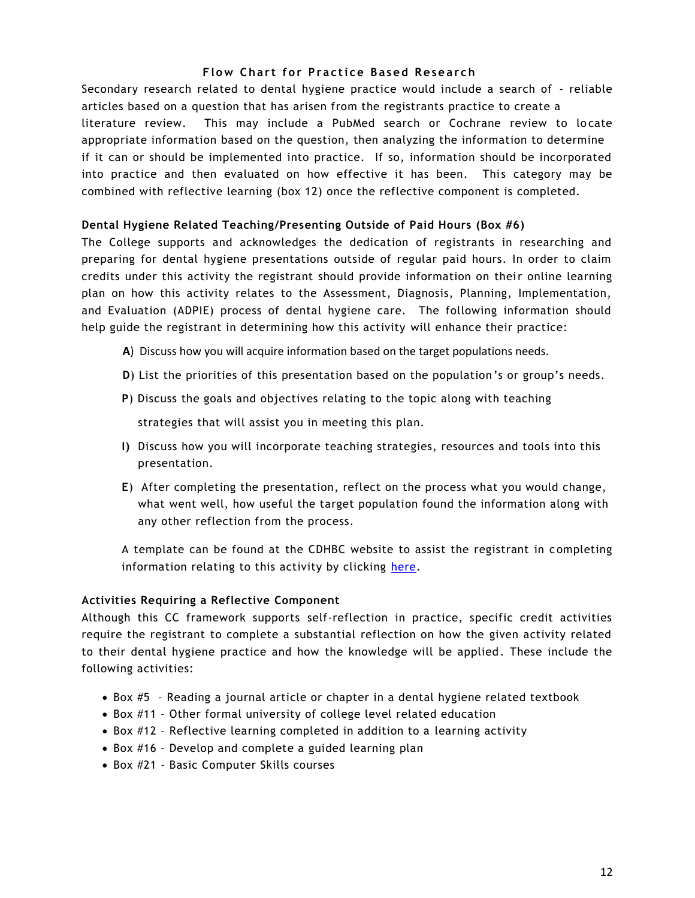## **Flow Chart for Practice Based Research**

Secondary research related to dental hygiene practice would include a search of - reliable articles based on a question that has arisen from the registrants practice to create a literature review. This may include a PubMed search or Cochrane review to locate appropriate information based on the question, then analyzing the information to determine if it can or should be implemented into practice. If so, information should be incorporated into practice and then evaluated on how effective it has been. This category may be combined with reflective learning (box 12) once the reflective component is completed.

#### **Dental Hygiene Related Teaching/Presenting Outside of Paid Hours (Box #6)**

The College supports and acknowledges the dedication of registrants in researching and preparing for dental hygiene presentations outside of regular paid hours. In order to claim credits under this activity the registrant should provide information on their online learning plan on how this activity relates to the Assessment, Diagnosis, Planning, Implementation, and Evaluation (ADPIE) process of dental hygiene care. The following information should help guide the registrant in determining how this activity will enhance their practice:

- **A**) Discuss how you will acquire information based on the target populations needs.
- **D**) List the priorities of this presentation based on the population 's or group's needs.
- **P**) Discuss the goals and objectives relating to the topic along with teaching

strategies that will assist you in meeting this plan.

- **I)** Discuss how you will incorporate teaching strategies, resources and tools into this presentation.
- **E**) After completing the presentation, reflect on the process what you would change, what went well, how useful the target population found the information along with any other reflection from the process.

A template can be found at the CDHBC website to assist the registrant in completing information relating to this activity by clicking [here.](http://www.cdhbc.com/Professional-Development/Quality-Assurance/Online-Learning-PLan/Learning-Plan-Form.aspx)

#### **Activities Requiring a Reflective Component**

Although this CC framework supports self-reflection in practice, specific credit activities require the registrant to complete a substantial reflection on how the given activity related to their dental hygiene practice and how the knowledge will be applied. These include the following activities:

- Box #5 Reading a journal article or chapter in a dental hygiene related textbook
- Box #11 Other formal university of college level related education
- Box #12 Reflective learning completed in addition to a learning activity
- Box #16 Develop and complete a guided learning plan
- Box #21 Basic Computer Skills courses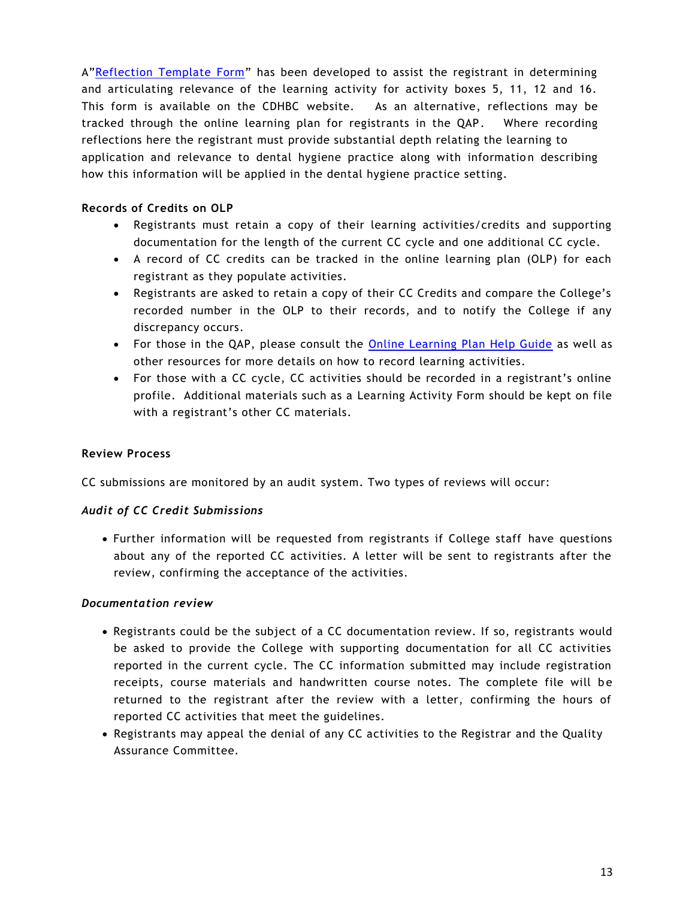A"[Reflection Template Form](http://www.cdhbc.com/Professional-Development/Quality-Assurance/Online-Learning-PLan/QAPRefl.aspx)" has been developed to assist the registrant in determining and articulating relevance of the learning activity for activity boxes 5, 11, 12 and 16. This form is available on the CDHBC website. As an alternative, reflections may be tracked through the online learning plan for registrants in the QAP. Where recording reflections here the registrant must provide substantial depth relating the learning to application and relevance to dental hygiene practice along with information describing how this information will be applied in the dental hygiene practice setting.

# **Records of Credits on OLP**

- Registrants must retain a copy of their learning activities/credits and supporting documentation for the length of the current CC cycle and one additional CC cycle.
- A record of CC credits can be tracked in the online learning plan (OLP) for each registrant as they populate activities.
- Registrants are asked to retain a copy of their CC Credits and compare the College's recorded number in the OLP to their records, and to notify the College if any discrepancy occurs.
- For those in the QAP, please consult the [Online Learning Plan Help Guide](http://www.cdhbc.com/Documents/Learning-Plan-Form.aspx) as well as other resources for more details on how to record learning activities.
- For those with a CC cycle, CC activities should be recorded in a registrant's online profile. Additional materials such as a Learning Activity Form should be kept on file with a registrant's other CC materials.

#### **Review Process**

CC submissions are monitored by an audit system. Two types of reviews will occur:

#### *Audit of CC Credit Submissions*

 Further information will be requested from registrants if College staff have questions about any of the reported CC activities. A letter will be sent to registrants after the review, confirming the acceptance of the activities.

#### *Documentation review*

- Registrants could be the subject of a CC documentation review. If so, registrants would be asked to provide the College with supporting documentation for all CC activities reported in the current cycle. The CC information submitted may include registration receipts, course materials and handwritten course notes. The complete file will be returned to the registrant after the review with a letter, confirming the hours of reported CC activities that meet the guidelines.
- Registrants may appeal the denial of any CC activities to the Registrar and the Quality Assurance Committee.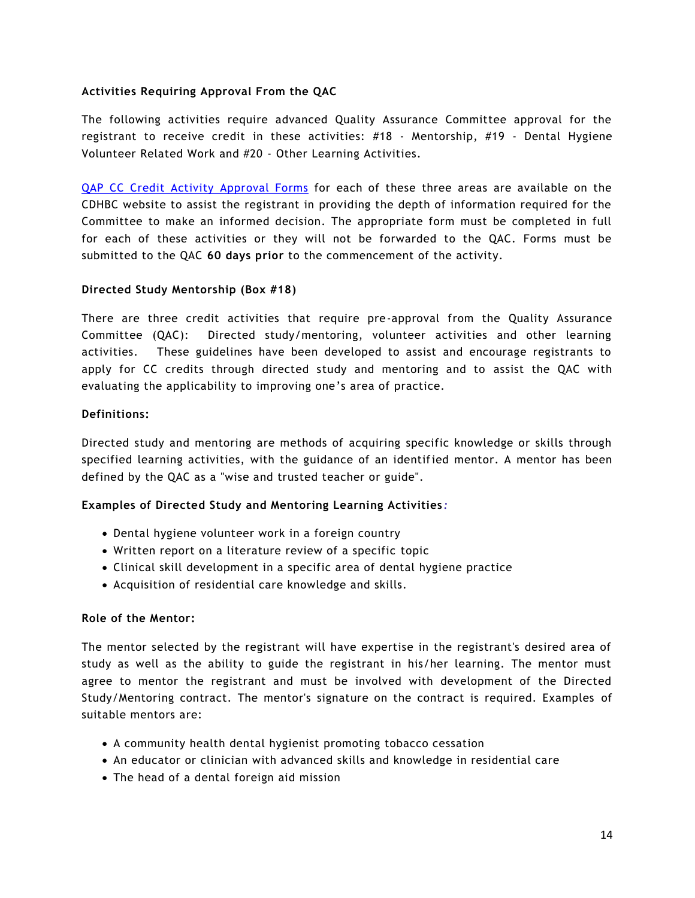### **Activities Requiring Approval From the QAC**

The following activities require advanced Quality Assurance Committee approval for the registrant to receive credit in these activities: #18 - Mentorship, #19 - Dental Hygiene Volunteer Related Work and #20 - Other Learning Activities.

[QAP CC Credit Activity Approval Forms](http://www.cdhbc.com/Professional-Development/Quality-Assurance/Online-Learning-PLan/QAP-CC-Act-Approval.aspx) for each of these three areas are available on the CDHBC website to assist the registrant in providing the depth of information required for the Committee to make an informed decision. The appropriate form must be completed in full for each of these activities or they will not be forwarded to the QAC. Forms must be submitted to the QAC **60 days prior** to the commencement of the activity.

#### **Directed Study Mentorship (Box #18)**

There are three credit activities that require pre-approval from the Quality Assurance Committee (QAC): Directed study/mentoring, volunteer activities and other learning activities. These guidelines have been developed to assist and encourage registrants to apply for CC credits through directed study and mentoring and to assist the QAC with evaluating the applicability to improving one's area of practice.

#### **Definitions:**

Directed study and mentoring are methods of acquiring specific knowledge or skills through specified learning activities, with the guidance of an identified mentor. A mentor has been defined by the QAC as a "wise and trusted teacher or guide".

#### **Examples of Directed Study and Mentoring Learning Activities** *:*

- Dental hygiene volunteer work in a foreign country
- Written report on a literature review of a specific topic
- Clinical skill development in a specific area of dental hygiene practice
- Acquisition of residential care knowledge and skills.

#### **Role of the Mentor:**

The mentor selected by the registrant will have expertise in the registrant's desired area of study as well as the ability to guide the registrant in his/her learning. The mentor must agree to mentor the registrant and must be involved with development of the Directed Study/Mentoring contract. The mentor's signature on the contract is required. Examples of suitable mentors are:

- A community health dental hygienist promoting tobacco cessation
- An educator or clinician with advanced skills and knowledge in residential care
- The head of a dental foreign aid mission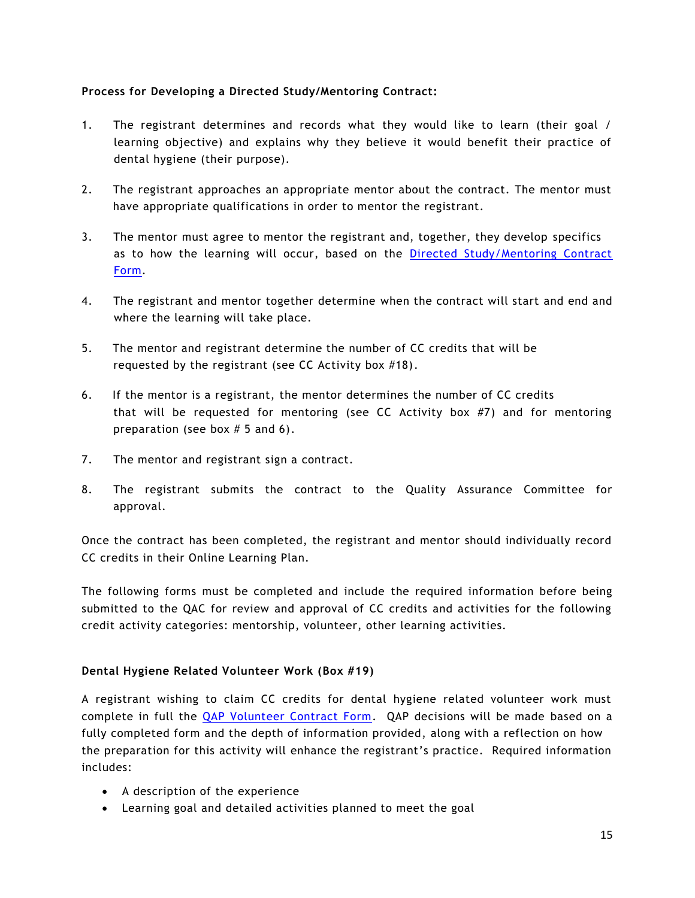# **Process for Developing a Directed Study/Mentoring Contract:**

- 1. The registrant determines and records what they would like to learn (their goal / learning objective) and explains why they believe it would benefit their practice of dental hygiene (their purpose).
- 2. The registrant approaches an appropriate mentor about the contract. The mentor must have appropriate qualifications in order to mentor the registrant.
- 3. The mentor must agree to mentor the registrant and, together, they develop specifics as to how the learning will occur, based on the [Directed Study/Mentoring Contract](http://www.cdhbc.com/Professional-Development/Quality-Assurance/Online-Learning-PLan/QAPDirMent.aspx)  [Form.](http://www.cdhbc.com/Professional-Development/Quality-Assurance/Online-Learning-PLan/QAPDirMent.aspx)
- 4. The registrant and mentor together determine when the contract will start and end and where the learning will take place.
- 5. The mentor and registrant determine the number of CC credits that will be requested by the registrant (see CC Activity box #18).
- 6. If the mentor is a registrant, the mentor determines the number of CC credits that will be requested for mentoring (see CC Activity box #7) and for mentoring preparation (see box  $# 5$  and 6).
- 7. The mentor and registrant sign a contract.
- 8. The registrant submits the contract to the Quality Assurance Committee for approval.

Once the contract has been completed, the registrant and mentor should individually record CC credits in their Online Learning Plan.

The following forms must be completed and include the required information before being submitted to the QAC for review and approval of CC credits and activities for the following credit activity categories: mentorship, volunteer, other learning activities.

# **Dental Hygiene Related Volunteer Work (Box #19)**

A registrant wishing to claim CC credits for dental hygiene related volunteer work must complete in full the [QAP Volunteer Contract Form.](http://www.cdhbc.com/Documents/QAP-Volunteer-Contract-Form-June-2015.aspx) QAP decisions will be made based on a fully completed form and the depth of information provided, along with a reflection on how the preparation for this activity will enhance the registrant's practice. Required information includes:

- A description of the experience
- Learning goal and detailed activities planned to meet the goal